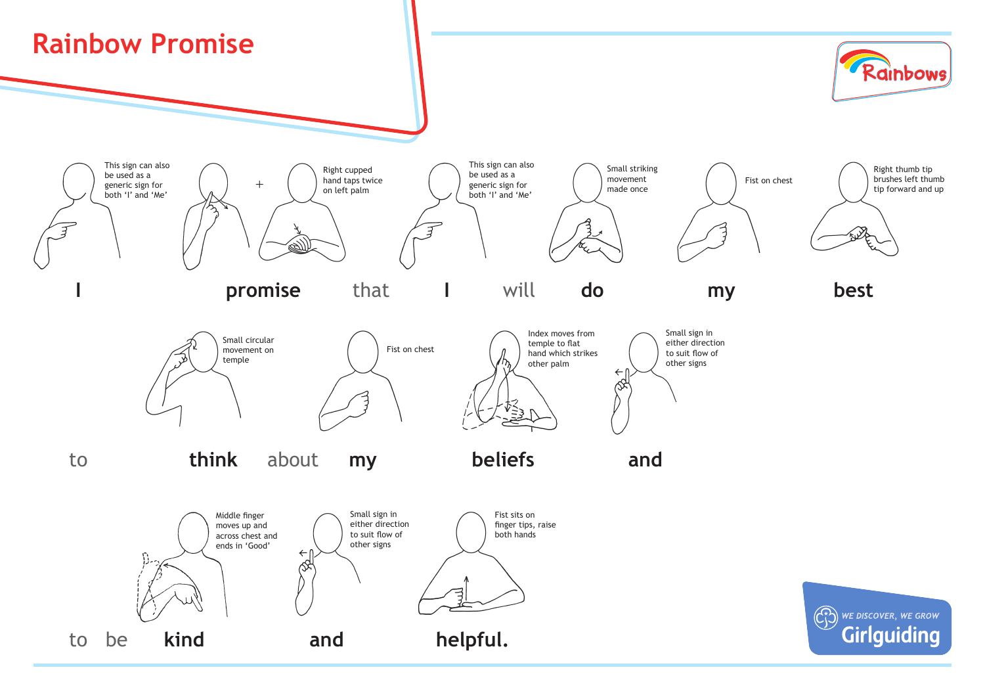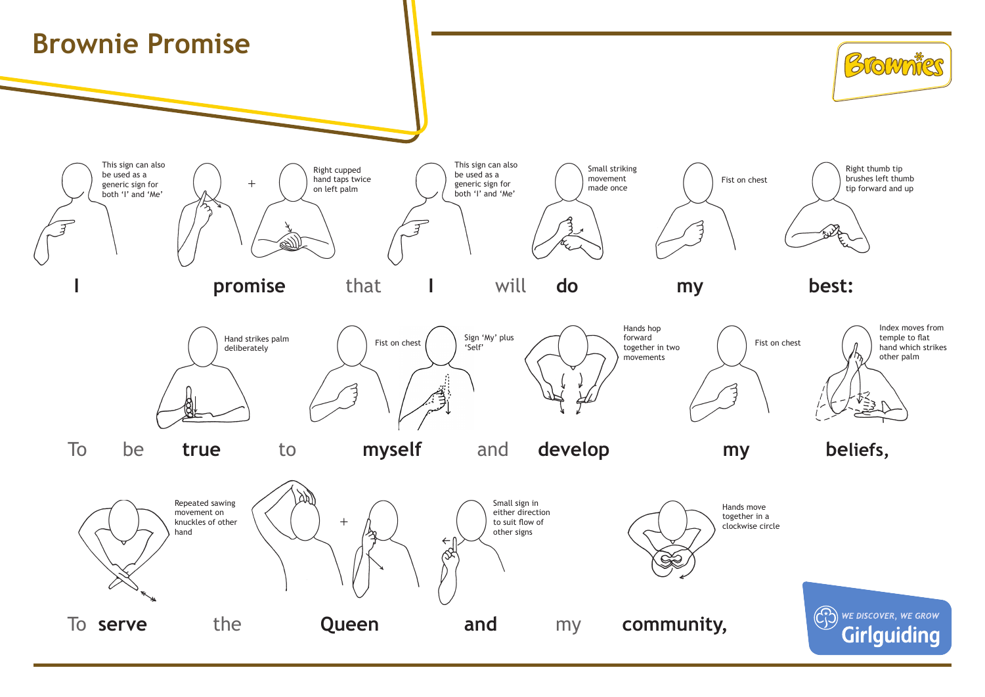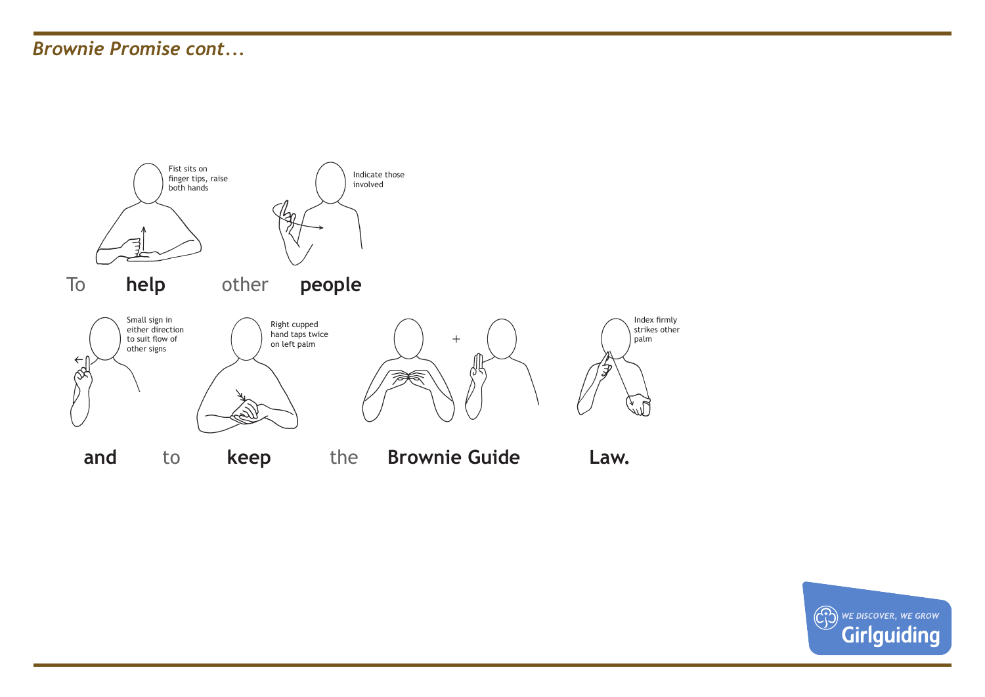## *Brownie Promise cont...*



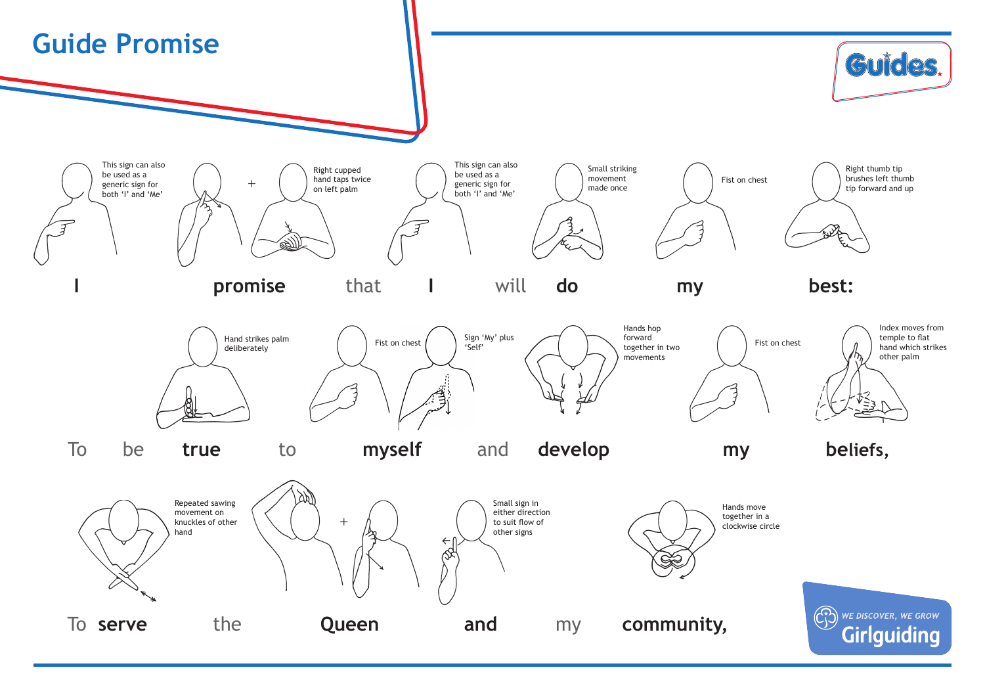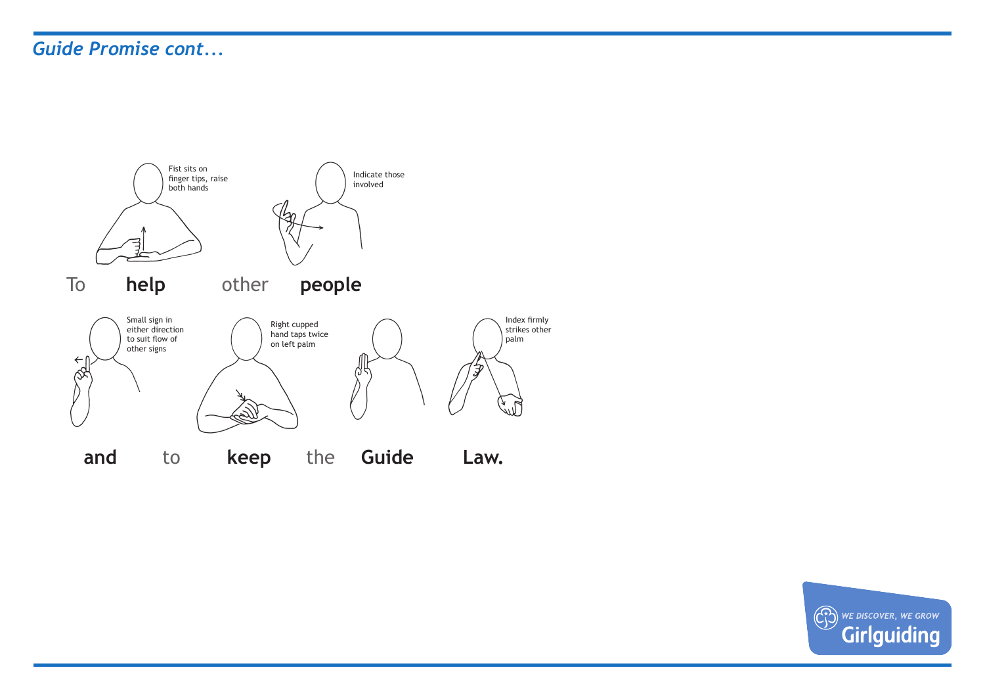## *Guide Promise cont...*



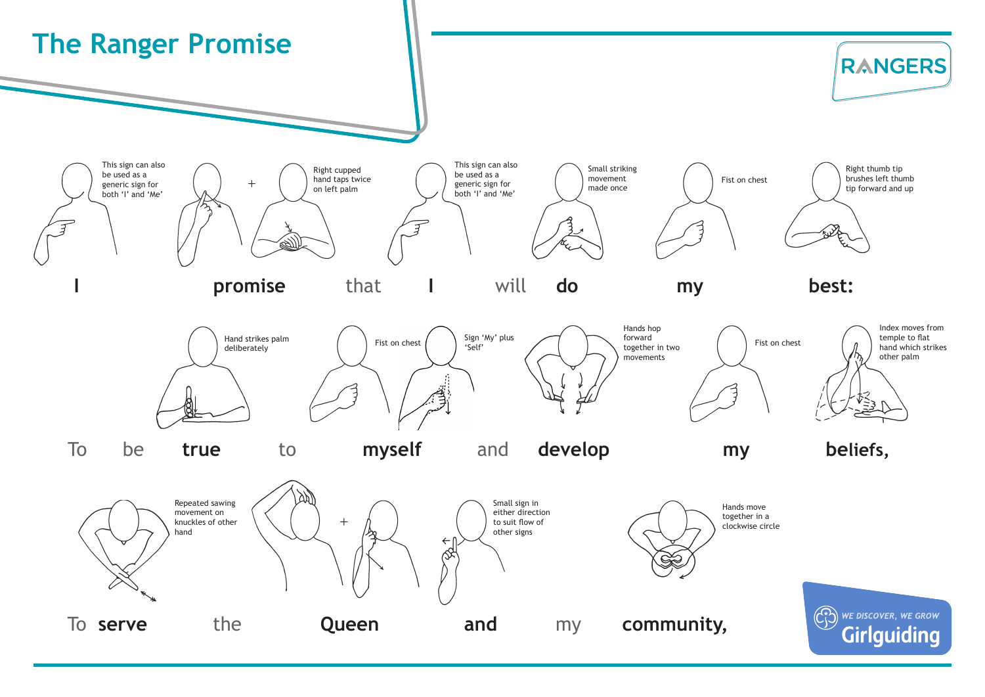